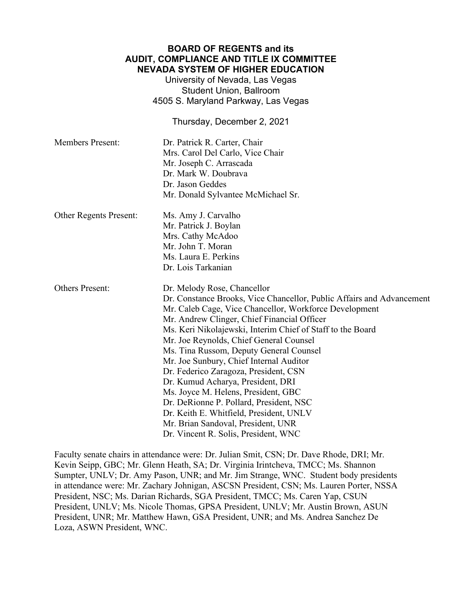## **BOARD OF REGENTS and its AUDIT, COMPLIANCE AND TITLE IX COMMITTEE NEVADA SYSTEM OF HIGHER EDUCATION**

University of Nevada, Las Vegas Student Union, Ballroom 4505 S. Maryland Parkway, Las Vegas

Thursday, December 2, 2021

| <b>Members Present:</b>       | Dr. Patrick R. Carter, Chair<br>Mrs. Carol Del Carlo, Vice Chair<br>Mr. Joseph C. Arrascada<br>Dr. Mark W. Doubrava<br>Dr. Jason Geddes<br>Mr. Donald Sylvantee McMichael Sr.                                                                                                                                                                                                                                                                                                                                                                                                                                                                                                                         |
|-------------------------------|-------------------------------------------------------------------------------------------------------------------------------------------------------------------------------------------------------------------------------------------------------------------------------------------------------------------------------------------------------------------------------------------------------------------------------------------------------------------------------------------------------------------------------------------------------------------------------------------------------------------------------------------------------------------------------------------------------|
| <b>Other Regents Present:</b> | Ms. Amy J. Carvalho<br>Mr. Patrick J. Boylan<br>Mrs. Cathy McAdoo<br>Mr. John T. Moran<br>Ms. Laura E. Perkins<br>Dr. Lois Tarkanian                                                                                                                                                                                                                                                                                                                                                                                                                                                                                                                                                                  |
| <b>Others Present:</b>        | Dr. Melody Rose, Chancellor<br>Dr. Constance Brooks, Vice Chancellor, Public Affairs and Advancement<br>Mr. Caleb Cage, Vice Chancellor, Workforce Development<br>Mr. Andrew Clinger, Chief Financial Officer<br>Ms. Keri Nikolajewski, Interim Chief of Staff to the Board<br>Mr. Joe Reynolds, Chief General Counsel<br>Ms. Tina Russom, Deputy General Counsel<br>Mr. Joe Sunbury, Chief Internal Auditor<br>Dr. Federico Zaragoza, President, CSN<br>Dr. Kumud Acharya, President, DRI<br>Ms. Joyce M. Helens, President, GBC<br>Dr. DeRionne P. Pollard, President, NSC<br>Dr. Keith E. Whitfield, President, UNLV<br>Mr. Brian Sandoval, President, UNR<br>Dr. Vincent R. Solis, President, WNC |

Faculty senate chairs in attendance were: Dr. Julian Smit, CSN; Dr. Dave Rhode, DRI; Mr. Kevin Seipp, GBC; Mr. Glenn Heath, SA; Dr. Virginia Irintcheva, TMCC; Ms. Shannon Sumpter, UNLV; Dr. Amy Pason, UNR; and Mr. Jim Strange, WNC. Student body presidents in attendance were: Mr. Zachary Johnigan, ASCSN President, CSN; Ms. Lauren Porter, NSSA President, NSC; Ms. Darian Richards, SGA President, TMCC; Ms. Caren Yap, CSUN President, UNLV; Ms. Nicole Thomas, GPSA President, UNLV; Mr. Austin Brown, ASUN President, UNR; Mr. Matthew Hawn, GSA President, UNR; and Ms. Andrea Sanchez De Loza, ASWN President, WNC.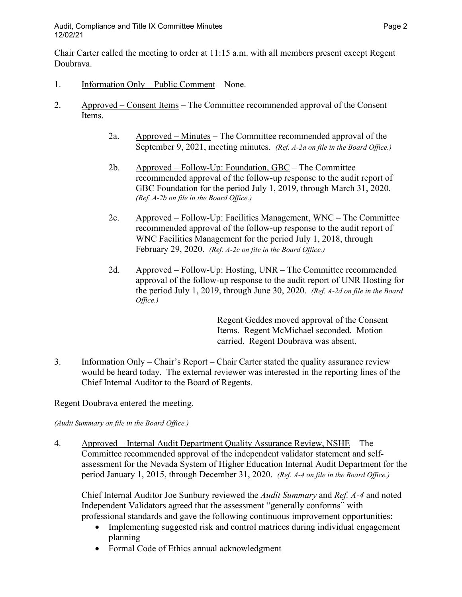Chair Carter called the meeting to order at 11:15 a.m. with all members present except Regent Doubrava.

- 1. Information Only Public Comment None.
- 2. Approved Consent Items The Committee recommended approval of the Consent Items.
	- 2a. Approved Minutes The Committee recommended approval of the September 9, 2021, meeting minutes. *(Ref. A-2a on file in the Board Office.)*
	- 2b. Approved Follow-Up: Foundation, GBC The Committee recommended approval of the follow-up response to the audit report of GBC Foundation for the period July 1, 2019, through March 31, 2020. *(Ref. A-2b on file in the Board Office.)*
	- 2c. Approved Follow-Up: Facilities Management, WNC The Committee recommended approval of the follow-up response to the audit report of WNC Facilities Management for the period July 1, 2018, through February 29, 2020. *(Ref. A-2c on file in the Board Office.)*
	- 2d. Approved Follow-Up: Hosting, UNR The Committee recommended approval of the follow-up response to the audit report of UNR Hosting for the period July 1, 2019, through June 30, 2020. *(Ref. A-2d on file in the Board Office.)*

Regent Geddes moved approval of the Consent Items. Regent McMichael seconded. Motion carried. Regent Doubrava was absent.

3. Information Only – Chair's Report – Chair Carter stated the quality assurance review would be heard today. The external reviewer was interested in the reporting lines of the Chief Internal Auditor to the Board of Regents.

Regent Doubrava entered the meeting.

## *(Audit Summary on file in the Board Office.)*

4. Approved – Internal Audit Department Quality Assurance Review, NSHE – The Committee recommended approval of the independent validator statement and selfassessment for the Nevada System of Higher Education Internal Audit Department for the period January 1, 2015, through December 31, 2020. *(Ref. A-4 on file in the Board Office.)*

Chief Internal Auditor Joe Sunbury reviewed the *Audit Summary* and *Ref. A-4* and noted Independent Validators agreed that the assessment "generally conforms" with professional standards and gave the following continuous improvement opportunities:

- Implementing suggested risk and control matrices during individual engagement planning
- Formal Code of Ethics annual acknowledgment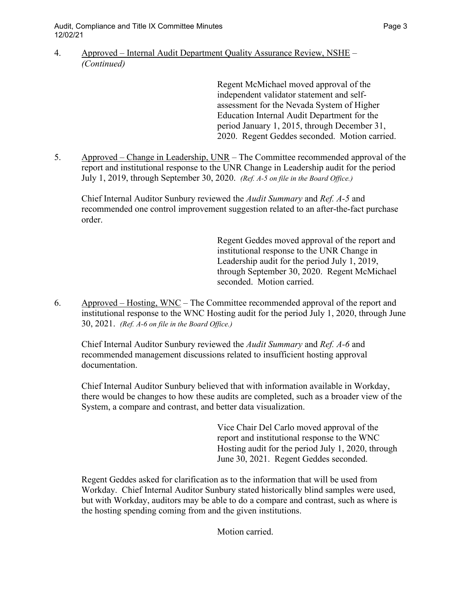4. Approved – Internal Audit Department Quality Assurance Review, NSHE – *(Continued)*

> Regent McMichael moved approval of the independent validator statement and selfassessment for the Nevada System of Higher Education Internal Audit Department for the period January 1, 2015, through December 31, 2020. Regent Geddes seconded. Motion carried.

5. Approved – Change in Leadership, UNR – The Committee recommended approval of the report and institutional response to the UNR Change in Leadership audit for the period July 1, 2019, through September 30, 2020. *(Ref. A-5 on file in the Board Office.)*

Chief Internal Auditor Sunbury reviewed the *Audit Summary* and *Ref. A-5* and recommended one control improvement suggestion related to an after-the-fact purchase order.

> Regent Geddes moved approval of the report and institutional response to the UNR Change in Leadership audit for the period July 1, 2019, through September 30, 2020. Regent McMichael seconded. Motion carried.

6. Approved – Hosting, WNC – The Committee recommended approval of the report and institutional response to the WNC Hosting audit for the period July 1, 2020, through June 30, 2021. *(Ref. A-6 on file in the Board Office.)*

Chief Internal Auditor Sunbury reviewed the *Audit Summary* and *Ref. A-6* and recommended management discussions related to insufficient hosting approval documentation.

Chief Internal Auditor Sunbury believed that with information available in Workday, there would be changes to how these audits are completed, such as a broader view of the System, a compare and contrast, and better data visualization.

> Vice Chair Del Carlo moved approval of the report and institutional response to the WNC Hosting audit for the period July 1, 2020, through June 30, 2021. Regent Geddes seconded.

Regent Geddes asked for clarification as to the information that will be used from Workday. Chief Internal Auditor Sunbury stated historically blind samples were used, but with Workday, auditors may be able to do a compare and contrast, such as where is the hosting spending coming from and the given institutions.

Motion carried.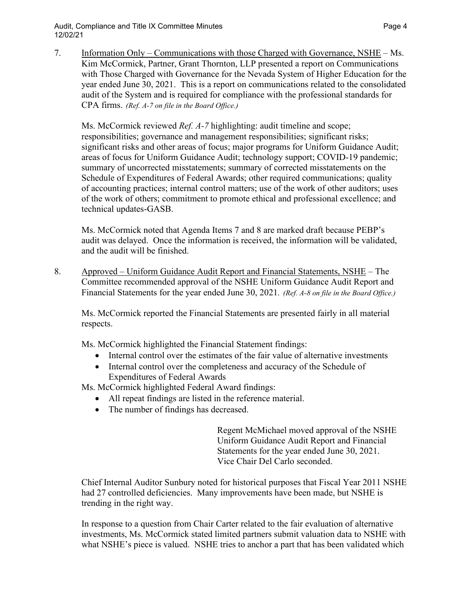Audit, Compliance and Title IX Committee Minutes **Page 4** and the Page 4 12/02/21

7. Information Only – Communications with those Charged with Governance, NSHE – Ms. Kim McCormick, Partner, Grant Thornton, LLP presented a report on Communications with Those Charged with Governance for the Nevada System of Higher Education for the year ended June 30, 2021. This is a report on communications related to the consolidated audit of the System and is required for compliance with the professional standards for CPA firms. *(Ref. A-7 on file in the Board Office.)*

Ms. McCormick reviewed *Ref. A-7* highlighting: audit timeline and scope; responsibilities; governance and management responsibilities; significant risks; significant risks and other areas of focus; major programs for Uniform Guidance Audit; areas of focus for Uniform Guidance Audit; technology support; COVID-19 pandemic; summary of uncorrected misstatements; summary of corrected misstatements on the Schedule of Expenditures of Federal Awards; other required communications; quality of accounting practices; internal control matters; use of the work of other auditors; uses of the work of others; commitment to promote ethical and professional excellence; and technical updates-GASB.

Ms. McCormick noted that Agenda Items 7 and 8 are marked draft because PEBP's audit was delayed. Once the information is received, the information will be validated, and the audit will be finished.

8. Approved – Uniform Guidance Audit Report and Financial Statements, NSHE – The Committee recommended approval of the NSHE Uniform Guidance Audit Report and Financial Statements for the year ended June 30, 2021*. (Ref. A-8 on file in the Board Office.)*

Ms. McCormick reported the Financial Statements are presented fairly in all material respects.

Ms. McCormick highlighted the Financial Statement findings:

- Internal control over the estimates of the fair value of alternative investments
- Internal control over the completeness and accuracy of the Schedule of Expenditures of Federal Awards

Ms. McCormick highlighted Federal Award findings:

- All repeat findings are listed in the reference material.
- The number of findings has decreased.

Regent McMichael moved approval of the NSHE Uniform Guidance Audit Report and Financial Statements for the year ended June 30, 2021. Vice Chair Del Carlo seconded.

Chief Internal Auditor Sunbury noted for historical purposes that Fiscal Year 2011 NSHE had 27 controlled deficiencies. Many improvements have been made, but NSHE is trending in the right way.

In response to a question from Chair Carter related to the fair evaluation of alternative investments, Ms. McCormick stated limited partners submit valuation data to NSHE with what NSHE's piece is valued. NSHE tries to anchor a part that has been validated which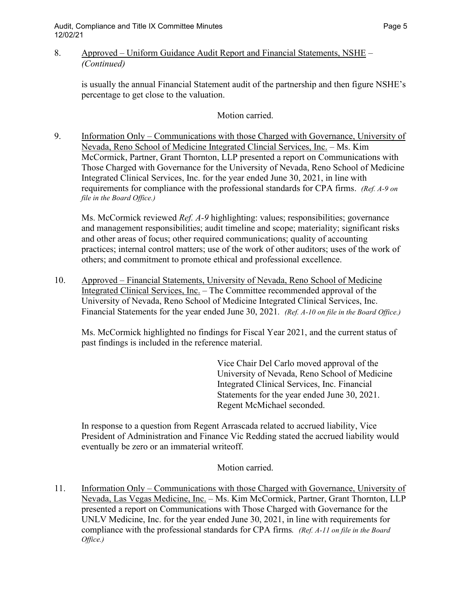## 8. Approved – Uniform Guidance Audit Report and Financial Statements, NSHE – *(Continued)*

is usually the annual Financial Statement audit of the partnership and then figure NSHE's percentage to get close to the valuation.

Motion carried.

9. Information Only – Communications with those Charged with Governance, University of Nevada, Reno School of Medicine Integrated Clincial Services, Inc. – Ms. Kim McCormick, Partner, Grant Thornton, LLP presented a report on Communications with Those Charged with Governance for the University of Nevada, Reno School of Medicine Integrated Clinical Services, Inc. for the year ended June 30, 2021, in line with requirements for compliance with the professional standards for CPA firms. *(Ref. A-9 on file in the Board Office.)*

Ms. McCormick reviewed *Ref. A-9* highlighting: values; responsibilities; governance and management responsibilities; audit timeline and scope; materiality; significant risks and other areas of focus; other required communications; quality of accounting practices; internal control matters; use of the work of other auditors; uses of the work of others; and commitment to promote ethical and professional excellence.

10. Approved – Financial Statements, University of Nevada, Reno School of Medicine Integrated Clinical Services, Inc. – The Committee recommended approval of the University of Nevada, Reno School of Medicine Integrated Clinical Services, Inc. Financial Statements for the year ended June 30, 2021*. (Ref. A-10 on file in the Board Office.)*

Ms. McCormick highlighted no findings for Fiscal Year 2021, and the current status of past findings is included in the reference material.

> Vice Chair Del Carlo moved approval of the University of Nevada, Reno School of Medicine Integrated Clinical Services, Inc. Financial Statements for the year ended June 30, 2021. Regent McMichael seconded.

In response to a question from Regent Arrascada related to accrued liability, Vice President of Administration and Finance Vic Redding stated the accrued liability would eventually be zero or an immaterial writeoff.

Motion carried.

11. Information Only – Communications with those Charged with Governance, University of Nevada, Las Vegas Medicine, Inc. – Ms. Kim McCormick, Partner, Grant Thornton, LLP presented a report on Communications with Those Charged with Governance for the UNLV Medicine, Inc. for the year ended June 30, 2021, in line with requirements for compliance with the professional standards for CPA firms*. (Ref. A-11 on file in the Board Office.)*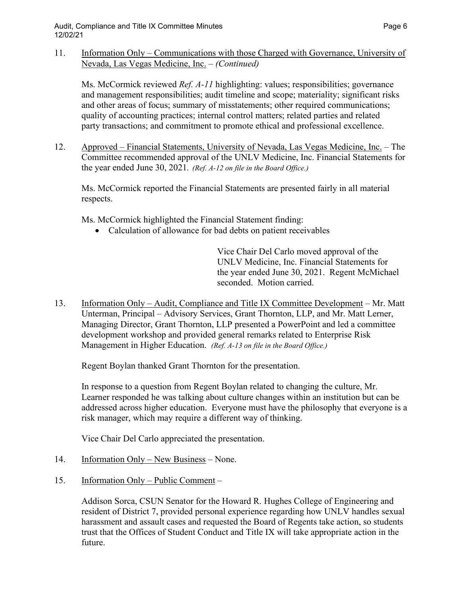11. Information Only – Communications with those Charged with Governance, University of Nevada, Las Vegas Medicine, Inc. – *(Continued)*

Ms. McCormick reviewed *Ref. A-11* highlighting: values; responsibilities; governance and management responsibilities; audit timeline and scope; materiality; significant risks and other areas of focus; summary of misstatements; other required communications; quality of accounting practices; internal control matters; related parties and related party transactions; and commitment to promote ethical and professional excellence.

12. Approved – Financial Statements, University of Nevada, Las Vegas Medicine, Inc. – The Committee recommended approval of the UNLV Medicine, Inc. Financial Statements for the year ended June 30, 2021*. (Ref. A-12 on file in the Board Office.)*

Ms. McCormick reported the Financial Statements are presented fairly in all material respects.

Ms. McCormick highlighted the Financial Statement finding:

• Calculation of allowance for bad debts on patient receivables

Vice Chair Del Carlo moved approval of the UNLV Medicine, Inc. Financial Statements for the year ended June 30, 2021. Regent McMichael seconded. Motion carried.

13. Information Only – Audit, Compliance and Title IX Committee Development – Mr. Matt Unterman, Principal – Advisory Services, Grant Thornton, LLP, and Mr. Matt Lerner, Managing Director, Grant Thornton, LLP presented a PowerPoint and led a committee development workshop and provided general remarks related to Enterprise Risk Management in Higher Education. *(Ref. A-13 on file in the Board Office.)*

Regent Boylan thanked Grant Thornton for the presentation.

In response to a question from Regent Boylan related to changing the culture, Mr. Learner responded he was talking about culture changes within an institution but can be addressed across higher education. Everyone must have the philosophy that everyone is a risk manager, which may require a different way of thinking.

Vice Chair Del Carlo appreciated the presentation.

- 14. Information Only New Business None.
- 15. Information Only Public Comment –

Addison Sorca, CSUN Senator for the Howard R. Hughes College of Engineering and resident of District 7, provided personal experience regarding how UNLV handles sexual harassment and assault cases and requested the Board of Regents take action, so students trust that the Offices of Student Conduct and Title IX will take appropriate action in the future.